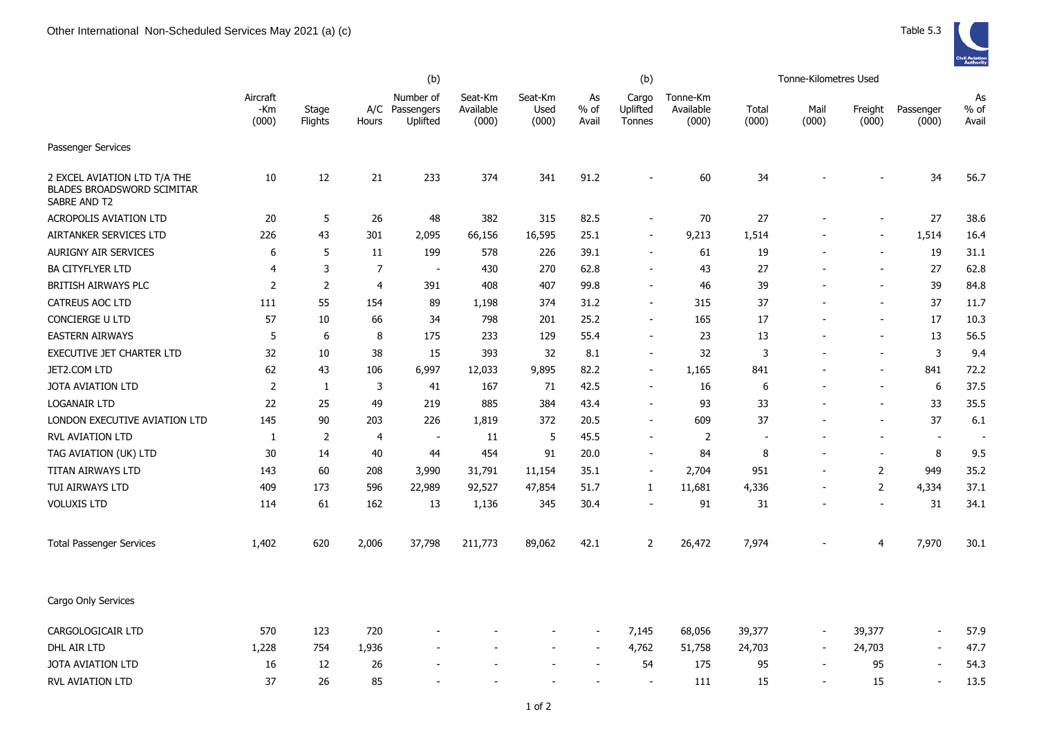|                                                                                   |                          |                  |                | (b)                                     |                               |                          |                          | (b)                         |                                |                          | Tonne-Kilometres Used    |                  |                          |                     |
|-----------------------------------------------------------------------------------|--------------------------|------------------|----------------|-----------------------------------------|-------------------------------|--------------------------|--------------------------|-----------------------------|--------------------------------|--------------------------|--------------------------|------------------|--------------------------|---------------------|
|                                                                                   | Aircraft<br>-Km<br>(000) | Stage<br>Flights | Hours          | Number of<br>A/C Passengers<br>Uplifted | Seat-Km<br>Available<br>(000) | Seat-Km<br>Used<br>(000) | As<br>% of<br>Avail      | Cargo<br>Uplifted<br>Tonnes | Tonne-Km<br>Available<br>(000) | Total<br>(000)           | Mail<br>(000)            | Freight<br>(000) | Passenger<br>(000)       | As<br>% of<br>Avail |
| Passenger Services                                                                |                          |                  |                |                                         |                               |                          |                          |                             |                                |                          |                          |                  |                          |                     |
| 2 EXCEL AVIATION LTD T/A THE<br><b>BLADES BROADSWORD SCIMITAR</b><br>SABRE AND T2 | 10                       | 12               | 21             | 233                                     | 374                           | 341                      | 91.2                     |                             | 60                             | 34                       |                          |                  | 34                       | 56.7                |
| <b>ACROPOLIS AVIATION LTD</b>                                                     | 20                       | 5                | 26             | 48                                      | 382                           | 315                      | 82.5                     | $\blacksquare$              | 70                             | 27                       |                          |                  | 27                       | 38.6                |
| AIRTANKER SERVICES LTD                                                            | 226                      | 43               | 301            | 2,095                                   | 66,156                        | 16,595                   | 25.1                     | $\sim$                      | 9,213                          | 1,514                    |                          | $\sim$           | 1,514                    | 16.4                |
| <b>AURIGNY AIR SERVICES</b>                                                       | 6                        | 5                | 11             | 199                                     | 578                           | 226                      | 39.1                     | $\overline{a}$              | 61                             | 19                       |                          |                  | 19                       | 31.1                |
| <b>BA CITYFLYER LTD</b>                                                           | $\overline{4}$           | 3                | $\overline{7}$ | $\overline{\phantom{a}}$                | 430                           | 270                      | 62.8                     | $\overline{\phantom{0}}$    | 43                             | 27                       |                          |                  | 27                       | 62.8                |
| BRITISH AIRWAYS PLC                                                               | $\overline{2}$           | $\mathbf 2$      | 4              | 391                                     | 408                           | 407                      | 99.8                     |                             | 46                             | 39                       |                          |                  | 39                       | 84.8                |
| <b>CATREUS AOC LTD</b>                                                            | 111                      | 55               | 154            | 89                                      | 1,198                         | 374                      | 31.2                     |                             | 315                            | 37                       |                          |                  | 37                       | 11.7                |
| <b>CONCIERGE U LTD</b>                                                            | 57                       | 10               | 66             | 34                                      | 798                           | 201                      | 25.2                     | $\blacksquare$              | 165                            | 17                       |                          |                  | 17                       | 10.3                |
| <b>EASTERN AIRWAYS</b>                                                            | 5                        | 6                | 8              | 175                                     | 233                           | 129                      | 55.4                     | $\blacksquare$              | 23                             | 13                       |                          |                  | 13                       | 56.5                |
| <b>EXECUTIVE JET CHARTER LTD</b>                                                  | 32                       | 10               | 38             | 15                                      | 393                           | 32                       | 8.1                      | $\blacksquare$              | 32                             | 3                        |                          |                  | 3                        | 9.4                 |
| JET2.COM LTD                                                                      | 62                       | 43               | 106            | 6,997                                   | 12,033                        | 9,895                    | 82.2                     | $\blacksquare$              | 1,165                          | 841                      |                          |                  | 841                      | 72.2                |
| <b>JOTA AVIATION LTD</b>                                                          | $\overline{2}$           | 1                | 3              | 41                                      | 167                           | 71                       | 42.5                     | $\blacksquare$              | 16                             | 6                        |                          |                  | 6                        | 37.5                |
| <b>LOGANAIR LTD</b>                                                               | 22                       | 25               | 49             | 219                                     | 885                           | 384                      | 43.4                     | $\overline{\phantom{a}}$    | 93                             | 33                       |                          |                  | 33                       | 35.5                |
| LONDON EXECUTIVE AVIATION LTD                                                     | 145                      | 90               | 203            | 226                                     | 1,819                         | 372                      | 20.5                     | $\blacksquare$              | 609                            | 37                       |                          |                  | 37                       | $6.1\,$             |
| <b>RVL AVIATION LTD</b>                                                           | 1                        | $\overline{2}$   | 4              | $\sim$                                  | 11                            | 5                        | 45.5                     | $\blacksquare$              | 2                              | $\overline{\phantom{a}}$ |                          |                  | $\blacksquare$           | $\sim$              |
| TAG AVIATION (UK) LTD                                                             | 30                       | 14               | 40             | 44                                      | 454                           | 91                       | 20.0                     | $\overline{\phantom{a}}$    | 84                             | 8                        |                          | $\sim$           | 8                        | 9.5                 |
| TITAN AIRWAYS LTD                                                                 | 143                      | 60               | 208            | 3,990                                   | 31,791                        | 11,154                   | 35.1                     | $\overline{\phantom{a}}$    | 2,704                          | 951                      | $\blacksquare$           | 2                | 949                      | 35.2                |
| TUI AIRWAYS LTD                                                                   | 409                      | 173              | 596            | 22,989                                  | 92,527                        | 47,854                   | 51.7                     | 1                           | 11,681                         | 4,336                    |                          | 2                | 4,334                    | 37.1                |
| <b>VOLUXIS LTD</b>                                                                | 114                      | 61               | 162            | 13                                      | 1,136                         | 345                      | 30.4                     | $\blacksquare$              | 91                             | 31                       |                          |                  | 31                       | 34.1                |
| <b>Total Passenger Services</b>                                                   | 1,402                    | 620              | 2,006          | 37,798                                  | 211,773                       | 89,062                   | 42.1                     | $\overline{2}$              | 26,472                         | 7,974                    |                          | 4                | 7,970                    | 30.1                |
| Cargo Only Services                                                               |                          |                  |                |                                         |                               |                          |                          |                             |                                |                          |                          |                  |                          |                     |
| CARGOLOGICAIR LTD                                                                 | 570                      | 123              | 720            |                                         |                               | $\blacksquare$           | $\sim$                   | 7,145                       | 68,056                         | 39,377                   | $\blacksquare$           | 39,377           | $\sim$                   | 57.9                |
| DHL AIR LTD                                                                       | 1,228                    | 754              | 1,936          |                                         |                               | $\blacksquare$           | $\overline{\phantom{a}}$ | 4,762                       | 51,758                         | 24,703                   | $\overline{\phantom{a}}$ | 24,703           | $\overline{\phantom{a}}$ | 47.7                |
| <b>JOTA AVIATION LTD</b>                                                          | 16                       | 12               | 26             |                                         |                               |                          |                          | 54                          | 175                            | 95                       | $\overline{\phantom{a}}$ | 95               |                          | 54.3                |
| RVL AVIATION LTD                                                                  | 37                       | 26               | 85             |                                         |                               |                          | $\sim$                   |                             | 111                            | 15                       | $\sim$                   | 15               | $\sim$                   | 13.5                |